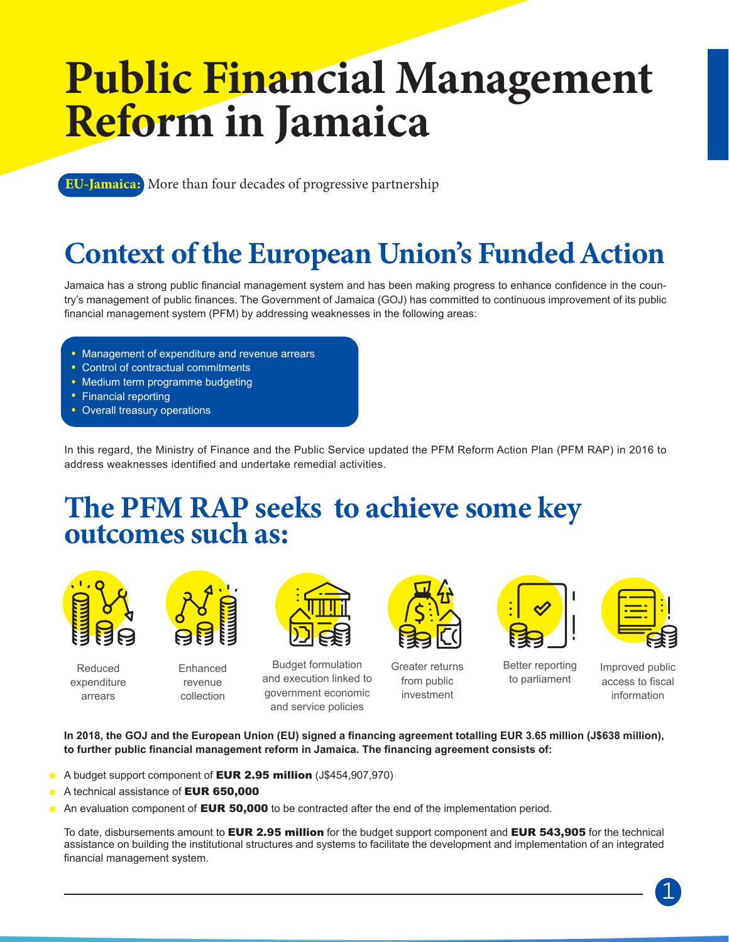## Public Financial Management Reform in Jamaica

**EU-Jamaica:** More than four decades of progressive partnership

## Context of the European Union's Funded Action

Jamaica has a strong public financial management system and has been making progress to enhance confidence in the country's management of public finances. The Government of Jamaica (GOJ) has committed to continuous improvement of its public financial management system (PFM) by addressing weaknesses in the following areas:

- Management of expenditure and revenue arrears
- Control of contractual commitments
- Medium term programme budgeting
- Financial reporting
- Overall treasury operations

In this regard, the Ministry of Finance and the Public Service updated the PFM Reform Action Plan (PFM RAP) in 2016 to address weaknesses identified and undertake remedial activities.

## The PFM RAP seeks to achieve some key outcomes such as:



Reduced expenditure arrears



Enhanced revenue collection



Budget formulation and execution linked to government economic and service policies

Greater returns from public investment



Better reporting to parliament



Improved public access to fiscal information

**In 2018, the GOJ and the European Union (EU) signed a financing agreement totalling EUR 3.65 million (J\$638 million), to further public financial management reform in Jamaica. The financing agreement consists of:**

- A budget support component of **EUR 2.95 million** (J\$454,907,970)
- A technical assistance of EUR 650,000
- An evaluation component of **EUR 50,000** to be contracted after the end of the implementation period.

To date, disbursements amount to **EUR 2.95 million** for the budget support component and **EUR 543,905** for the technical assistance on building the institutional structures and systems to facilitate the development and implementation of an integrated financial management system.